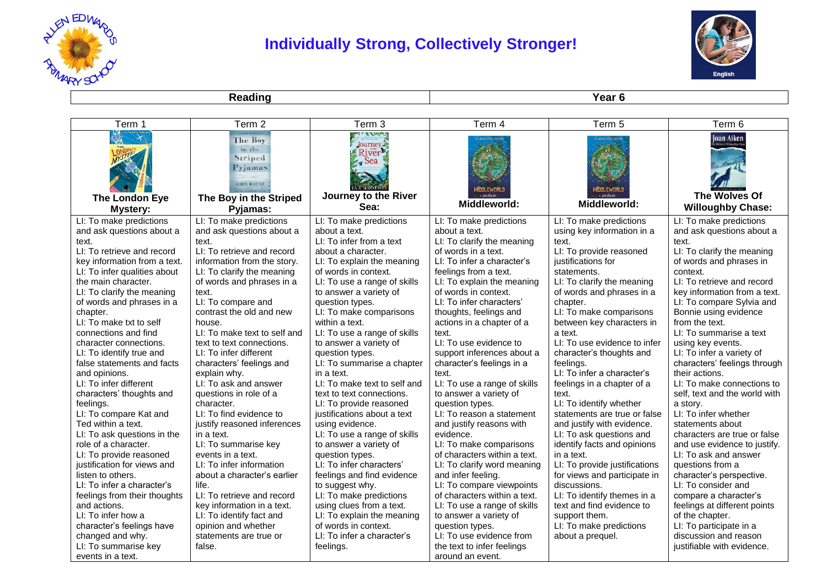

## **Individually Strong, Collectively Stronger!**



**Reading Year 6** 

| Term 1                                                 | Term 2                                                                                                    | Term 3                                                                                           | Term 4                                                  | Term 5                                | Term 6                                                  |
|--------------------------------------------------------|-----------------------------------------------------------------------------------------------------------|--------------------------------------------------------------------------------------------------|---------------------------------------------------------|---------------------------------------|---------------------------------------------------------|
| The London Eye<br>Mystery:                             | <b>The Boy</b><br>in the<br>Striped<br>Pyjamas<br><b>JOHN BOYNE</b><br>The Boy in the Striped<br>Pyjamas: | me. d. Portugal<br>Journey &<br>River <sup>1</sup><br>$\sim$ Sea<br>Journey to the River<br>Sea: | Middleworld:                                            | · JARVIELKEL<br>Middleworld:          | Joan Aiken<br>The Wolves Of<br><b>Willoughby Chase:</b> |
| LI: To make predictions                                | LI: To make predictions                                                                                   | LI: To make predictions                                                                          | LI: To make predictions                                 | LI: To make predictions               | LI: To make predictions                                 |
| and ask questions about a                              | and ask questions about a                                                                                 | about a text.                                                                                    | about a text.                                           | using key information in a            | and ask questions about a                               |
| text.                                                  | text.                                                                                                     | LI: To infer from a text                                                                         | LI: To clarify the meaning                              | text.                                 | text.                                                   |
| LI: To retrieve and record                             | LI: To retrieve and record                                                                                | about a character.                                                                               | of words in a text.                                     | LI: To provide reasoned               | LI: To clarify the meaning                              |
| key information from a text.                           | information from the story.                                                                               | LI: To explain the meaning                                                                       | LI: To infer a character's                              | justifications for                    | of words and phrases in                                 |
| LI: To infer qualities about                           | LI: To clarify the meaning                                                                                | of words in context.                                                                             | feelings from a text.                                   | statements.                           | context.                                                |
| the main character.                                    | of words and phrases in a                                                                                 | LI: To use a range of skills                                                                     | LI: To explain the meaning                              | LI: To clarify the meaning            | LI: To retrieve and record                              |
| LI: To clarify the meaning                             | text.                                                                                                     | to answer a variety of                                                                           | of words in context.                                    | of words and phrases in a             | key information from a text.                            |
| of words and phrases in a                              | LI: To compare and                                                                                        | question types.                                                                                  | LI: To infer characters'                                | chapter.                              | LI: To compare Sylvia and                               |
| chapter.                                               | contrast the old and new                                                                                  | LI: To make comparisons                                                                          | thoughts, feelings and                                  | LI: To make comparisons               | Bonnie using evidence                                   |
| LI: To make txt to self                                | house.                                                                                                    | within a text.                                                                                   | actions in a chapter of a                               | between key characters in             | from the text.                                          |
| connections and find                                   | LI: To make text to self and                                                                              | LI: To use a range of skills                                                                     | text.<br>LI: To use evidence to                         | a text.                               | LI: To summarise a text                                 |
| character connections.                                 | text to text connections.                                                                                 | to answer a variety of                                                                           |                                                         | LI: To use evidence to infer          | using key events.                                       |
| LI: To identify true and<br>false statements and facts | LI: To infer different                                                                                    | question types.<br>LI: To summarise a chapter                                                    | support inferences about a<br>character's feelings in a | character's thoughts and<br>feelings. | LI: To infer a variety of                               |
|                                                        | characters' feelings and                                                                                  | in a text.                                                                                       | text.                                                   | LI: To infer a character's            | characters' feelings through<br>their actions.          |
| and opinions.<br>LI: To infer different                | explain why.<br>LI: To ask and answer                                                                     | LI: To make text to self and                                                                     | LI: To use a range of skills                            | feelings in a chapter of a            | LI: To make connections to                              |
| characters' thoughts and                               | questions in role of a                                                                                    | text to text connections.                                                                        | to answer a variety of                                  | text.                                 | self, text and the world with                           |
| feelings.                                              | character.                                                                                                | LI: To provide reasoned                                                                          | question types.                                         | LI: To identify whether               | a story.                                                |
| LI: To compare Kat and                                 | LI: To find evidence to                                                                                   | justifications about a text                                                                      | LI: To reason a statement                               | statements are true or false          | LI: To infer whether                                    |
| Ted within a text.                                     | justify reasoned inferences                                                                               | using evidence.                                                                                  | and justify reasons with                                | and justify with evidence.            | statements about                                        |
| LI: To ask questions in the                            | in a text.                                                                                                | LI: To use a range of skills                                                                     | evidence.                                               | LI: To ask questions and              | characters are true or false                            |
| role of a character.                                   | LI: To summarise key                                                                                      | to answer a variety of                                                                           | LI: To make comparisons                                 | identify facts and opinions           | and use evidence to justify.                            |
| LI: To provide reasoned                                | events in a text.                                                                                         | question types.                                                                                  | of characters within a text.                            | in a text.                            | LI: To ask and answer                                   |
| justification for views and                            | LI: To infer information                                                                                  | LI: To infer characters'                                                                         | LI: To clarify word meaning                             | LI: To provide justifications         | questions from a                                        |
| listen to others.                                      | about a character's earlier                                                                               | feelings and find evidence                                                                       | and infer feeling.                                      | for views and participate in          | character's perspective.                                |
| LI: To infer a character's                             | life.                                                                                                     | to suggest why.                                                                                  | LI: To compare viewpoints                               | discussions.                          | LI: To consider and                                     |
| feelings from their thoughts                           | LI: To retrieve and record                                                                                | LI: To make predictions                                                                          | of characters within a text.                            | LI: To identify themes in a           | compare a character's                                   |
| and actions.                                           | key information in a text.                                                                                | using clues from a text.                                                                         | LI: To use a range of skills                            | text and find evidence to             | feelings at different points                            |
| LI: To infer how a                                     | LI: To identify fact and                                                                                  | LI: To explain the meaning                                                                       | to answer a variety of                                  | support them.                         | of the chapter.                                         |
| character's feelings have                              | opinion and whether                                                                                       | of words in context.                                                                             | question types.                                         | LI: To make predictions               | LI: To participate in a                                 |
| changed and why.                                       | statements are true or                                                                                    | LI: To infer a character's                                                                       | LI: To use evidence from                                | about a prequel.                      | discussion and reason                                   |
| LI: To summarise key                                   | false.                                                                                                    | feelings.                                                                                        | the text to infer feelings                              |                                       | justifiable with evidence.                              |
| events in a text.                                      |                                                                                                           |                                                                                                  | around an event.                                        |                                       |                                                         |